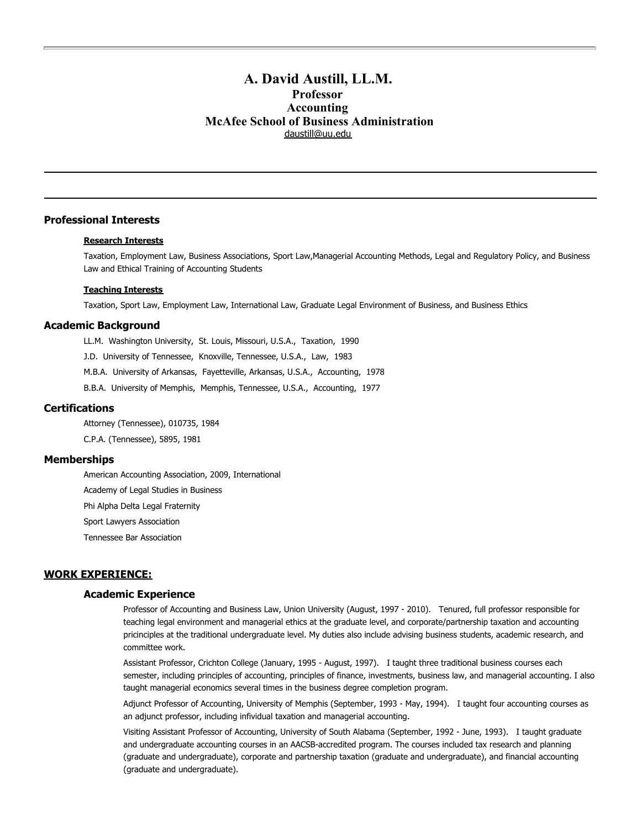# **A. David Austill, LL.M. Professor Accounting McAfee School of Business Administration** [daustill@uu.edu](mailto:daustill@uu.edu)

# **Professional Interests**

# **Research Interests**

Taxation, Employment Law, Business Associations, Sport Law,Managerial Accounting Methods, Legal and Regulatory Policy, and Business Law and Ethical Training of Accounting Students

## **Teaching Interests**

Taxation, Sport Law, Employment Law, International Law, Graduate Legal Environment of Business, and Business Ethics

## **Academic Background**

LL.M. Washington University, St. Louis, Missouri, U.S.A., Taxation, 1990

J.D. University of Tennessee, Knoxville, Tennessee, U.S.A., Law, 1983

M.B.A. University of Arkansas, Fayetteville, Arkansas, U.S.A., Accounting, 1978

B.B.A. University of Memphis, Memphis, Tennessee, U.S.A., Accounting, 1977

# **Certifications**

Attorney (Tennessee), 010735, 1984 C.P.A. (Tennessee), 5895, 1981

# **Memberships**

American Accounting Association, 2009, International Academy of Legal Studies in Business Phi Alpha Delta Legal Fraternity Sport Lawyers Association

Tennessee Bar Association

# **WORK EXPERIENCE:**

## **Academic Experience**

Professor of Accounting and Business Law, Union University (August, 1997 - 2010). Tenured, full professor responsible for teaching legal environment and managerial ethics at the graduate level, and corporate/partnership taxation and accounting pricinciples at the traditional undergraduate level. My duties also include advising business students, academic research, and committee work.

Assistant Professor, Crichton College (January, 1995 - August, 1997). I taught three traditional business courses each semester, including principles of accounting, principles of finance, investments, business law, and managerial accounting. I also taught managerial economics several times in the business degree completion program.

Adjunct Professor of Accounting, University of Memphis (September, 1993 - May, 1994). I taught four accounting courses as an adjunct professor, including infividual taxation and managerial accounting.

Visiting Assistant Professor of Accounting, University of South Alabama (September, 1992 - June, 1993). I taught graduate and undergraduate accounting courses in an AACSB-accredited program. The courses included tax research and planning (graduate and undergraduate), corporate and partnership taxation (graduate and undergraduate), and financial accounting (graduate and undergraduate).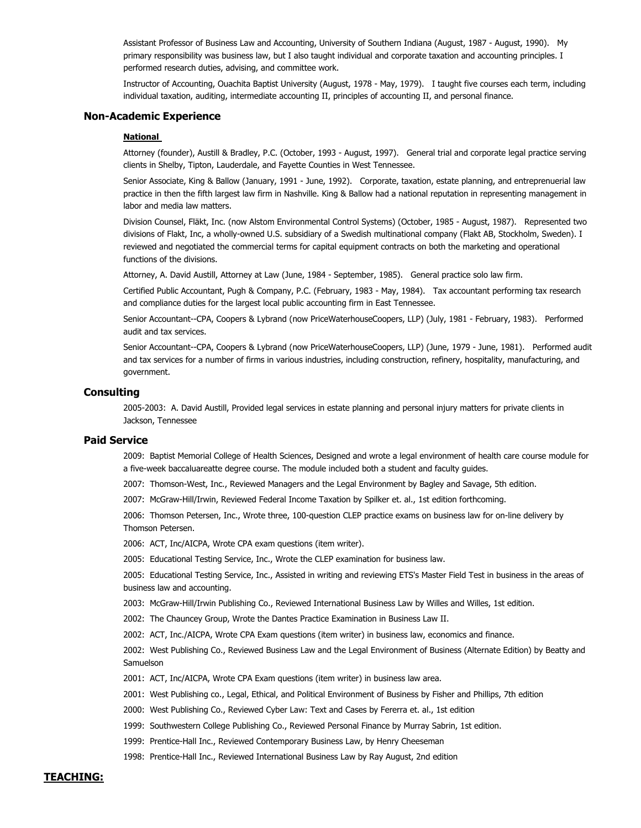Assistant Professor of Business Law and Accounting, University of Southern Indiana (August, 1987 - August, 1990). My primary responsibility was business law, but I also taught individual and corporate taxation and accounting principles. I performed research duties, advising, and committee work.

Instructor of Accounting, Ouachita Baptist University (August, 1978 - May, 1979). I taught five courses each term, including individual taxation, auditing, intermediate accounting II, principles of accounting II, and personal finance.

#### **Non-Academic Experience**

## **National**

Attorney (founder), Austill & Bradley, P.C. (October, 1993 - August, 1997). General trial and corporate legal practice serving clients in Shelby, Tipton, Lauderdale, and Fayette Counties in West Tennessee.

Senior Associate, King & Ballow (January, 1991 - June, 1992). Corporate, taxation, estate planning, and entreprenuerial law practice in then the fifth largest law firm in Nashville. King & Ballow had a national reputation in representing management in labor and media law matters.

Division Counsel, Fläkt, Inc. (now Alstom Environmental Control Systems) (October, 1985 - August, 1987). Represented two divisions of Flakt, Inc, a wholly-owned U.S. subsidiary of a Swedish multinational company (Flakt AB, Stockholm, Sweden). I reviewed and negotiated the commercial terms for capital equipment contracts on both the marketing and operational functions of the divisions.

Attorney, A. David Austill, Attorney at Law (June, 1984 - September, 1985). General practice solo law firm.

Certified Public Accountant, Pugh & Company, P.C. (February, 1983 - May, 1984). Tax accountant performing tax research and compliance duties for the largest local public accounting firm in East Tennessee.

Senior Accountant--CPA, Coopers & Lybrand (now PriceWaterhouseCoopers, LLP) (July, 1981 - February, 1983). Performed audit and tax services.

Senior Accountant--CPA, Coopers & Lybrand (now PriceWaterhouseCoopers, LLP) (June, 1979 - June, 1981). Performed audit and tax services for a number of firms in various industries, including construction, refinery, hospitality, manufacturing, and government.

## **Consulting**

2005-2003: A. David Austill, Provided legal services in estate planning and personal injury matters for private clients in Jackson, Tennessee

## **Paid Service**

2009: Baptist Memorial College of Health Sciences, Designed and wrote a legal environment of health care course module for a five-week baccaluareatte degree course. The module included both a student and faculty guides.

2007: Thomson-West, Inc., Reviewed Managers and the Legal Environment by Bagley and Savage, 5th edition.

2007: McGraw-Hill/Irwin, Reviewed Federal Income Taxation by Spilker et. al., 1st edition forthcoming.

2006: Thomson Petersen, Inc., Wrote three, 100-question CLEP practice exams on business law for on-line delivery by Thomson Petersen.

2006: ACT, Inc/AICPA, Wrote CPA exam questions (item writer).

2005: Educational Testing Service, Inc., Wrote the CLEP examination for business law.

2005: Educational Testing Service, Inc., Assisted in writing and reviewing ETS's Master Field Test in business in the areas of business law and accounting.

2003: McGraw-Hill/Irwin Publishing Co., Reviewed International Business Law by Willes and Willes, 1st edition.

2002: The Chauncey Group, Wrote the Dantes Practice Examination in Business Law II.

2002: ACT, Inc./AICPA, Wrote CPA Exam questions (item writer) in business law, economics and finance.

2002: West Publishing Co., Reviewed Business Law and the Legal Environment of Business (Alternate Edition) by Beatty and Samuelson

2001: ACT, Inc/AICPA, Wrote CPA Exam questions (item writer) in business law area.

2001: West Publishing co., Legal, Ethical, and Political Environment of Business by Fisher and Phillips, 7th edition

2000: West Publishing Co., Reviewed Cyber Law: Text and Cases by Fererra et. al., 1st edition

1999: Southwestern College Publishing Co., Reviewed Personal Finance by Murray Sabrin, 1st edition.

1999: Prentice-Hall Inc., Reviewed Contemporary Business Law, by Henry Cheeseman

1998: Prentice-Hall Inc., Reviewed International Business Law by Ray August, 2nd edition

# **TEACHING:**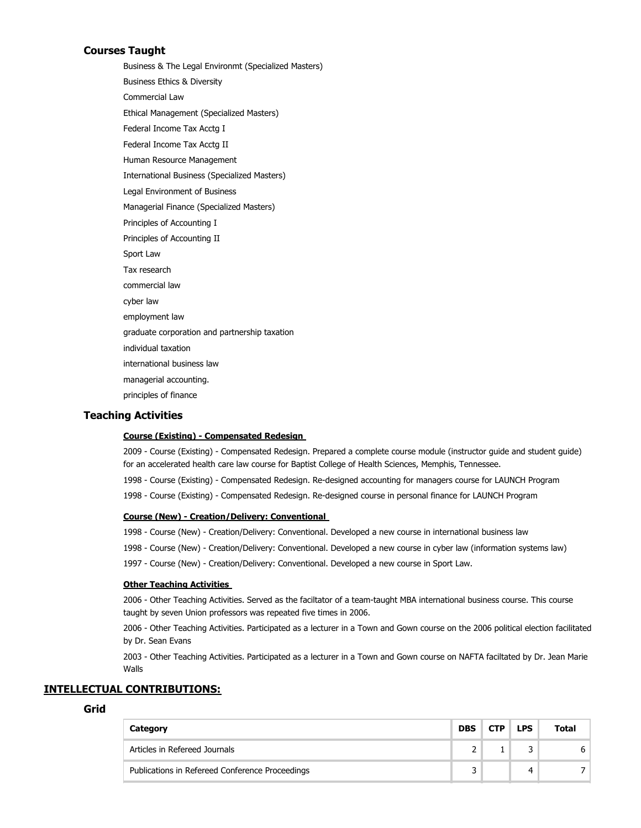# **Courses Taught**

Business & The Legal Environmt (Specialized Masters) Business Ethics & Diversity Commercial Law Ethical Management (Specialized Masters) Federal Income Tax Acctg I Federal Income Tax Acctg II Human Resource Management International Business (Specialized Masters) Legal Environment of Business Managerial Finance (Specialized Masters) Principles of Accounting I Principles of Accounting II Sport Law Tax research commercial law cyber law employment law graduate corporation and partnership taxation individual taxation international business law managerial accounting. principles of finance

# **Teaching Activities**

## **Course (Existing) - Compensated Redesign**

2009 - Course (Existing) - Compensated Redesign. Prepared a complete course module (instructor guide and student guide) for an accelerated health care law course for Baptist College of Health Sciences, Memphis, Tennessee.

- 1998 Course (Existing) Compensated Redesign. Re-designed accounting for managers course for LAUNCH Program
- 1998 Course (Existing) Compensated Redesign. Re-designed course in personal finance for LAUNCH Program

# **Course (New) - Creation/Delivery: Conventional**

1998 - Course (New) - Creation/Delivery: Conventional. Developed a new course in international business law

- 1998 Course (New) Creation/Delivery: Conventional. Developed a new course in cyber law (information systems law)
- 1997 Course (New) Creation/Delivery: Conventional. Developed a new course in Sport Law.

## **Other Teaching Activities**

2006 - Other Teaching Activities. Served as the faciltator of a team-taught MBA international business course. This course taught by seven Union professors was repeated five times in 2006.

2006 - Other Teaching Activities. Participated as a lecturer in a Town and Gown course on the 2006 political election facilitated by Dr. Sean Evans

2003 - Other Teaching Activities. Participated as a lecturer in a Town and Gown course on NAFTA faciltated by Dr. Jean Marie Walls

# **INTELLECTUAL CONTRIBUTIONS:**

# **Grid**

| Category                                        | <b>DBS</b> | <b>CTP</b> | <b>LPS</b> | Total |
|-------------------------------------------------|------------|------------|------------|-------|
| Articles in Refereed Journals                   |            |            |            | h.    |
| Publications in Refereed Conference Proceedings | 2          |            | 4          |       |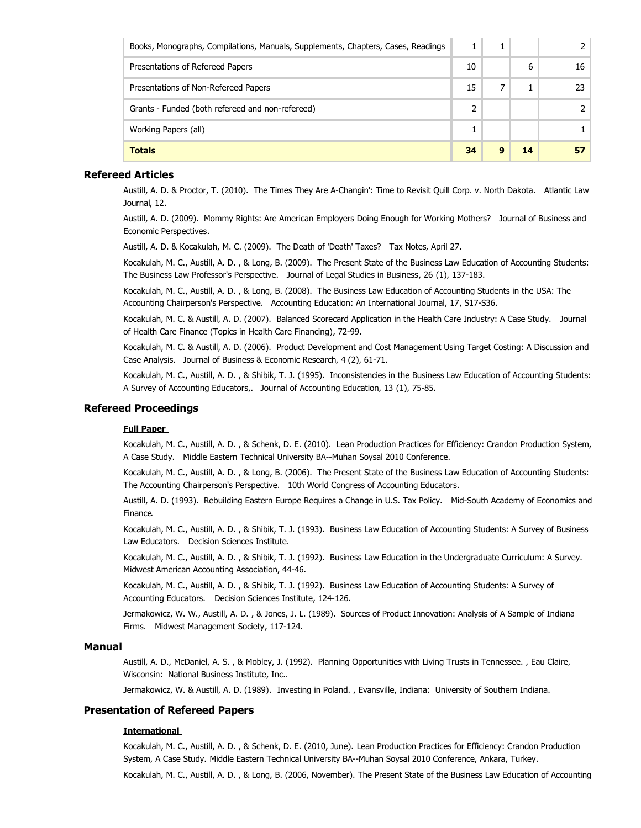| Books, Monographs, Compilations, Manuals, Supplements, Chapters, Cases, Readings |    |   |    |    |
|----------------------------------------------------------------------------------|----|---|----|----|
| Presentations of Refereed Papers                                                 | 10 |   | 6  | 16 |
| Presentations of Non-Refereed Papers                                             | 15 |   |    |    |
| Grants - Funded (both refereed and non-refereed)                                 | 2  |   |    |    |
| Working Papers (all)                                                             |    |   |    |    |
| <b>Totals</b>                                                                    | 34 | q | 14 |    |

# **Refereed Articles**

Austill, A. D. & Proctor, T. (2010). The Times They Are A-Changin': Time to Revisit Quill Corp. v. North Dakota. Atlantic Law Journal, 12.

Austill, A. D. (2009). Mommy Rights: Are American Employers Doing Enough for Working Mothers? Journal of Business and Economic Perspectives.

Austill, A. D. & Kocakulah, M. C. (2009). The Death of 'Death' Taxes? Tax Notes, April 27.

Kocakulah, M. C., Austill, A. D. , & Long, B. (2009). The Present State of the Business Law Education of Accounting Students: The Business Law Professor's Perspective. Journal of Legal Studies in Business, 26 (1), 137-183.

Kocakulah, M. C., Austill, A. D. , & Long, B. (2008). The Business Law Education of Accounting Students in the USA: The Accounting Chairperson's Perspective. Accounting Education: An International Journal, 17, S17-S36.

Kocakulah, M. C. & Austill, A. D. (2007). Balanced Scorecard Application in the Health Care Industry: A Case Study. Journal of Health Care Finance (Topics in Health Care Financing), 72-99.

Kocakulah, M. C. & Austill, A. D. (2006). Product Development and Cost Management Using Target Costing: A Discussion and Case Analysis. Journal of Business & Economic Research, 4 (2), 61-71.

Kocakulah, M. C., Austill, A. D. , & Shibik, T. J. (1995). Inconsistencies in the Business Law Education of Accounting Students: A Survey of Accounting Educators,. Journal of Accounting Education, 13 (1), 75-85.

# **Refereed Proceedings**

# **Full Paper**

Kocakulah, M. C., Austill, A. D. , & Schenk, D. E. (2010). Lean Production Practices for Efficiency: Crandon Production System, A Case Study. Middle Eastern Technical University BA--Muhan Soysal 2010 Conference.

Kocakulah, M. C., Austill, A. D. , & Long, B. (2006). The Present State of the Business Law Education of Accounting Students: The Accounting Chairperson's Perspective. 10th World Congress of Accounting Educators.

Austill, A. D. (1993). Rebuilding Eastern Europe Requires a Change in U.S. Tax Policy. Mid-South Academy of Economics and Finance.

Kocakulah, M. C., Austill, A. D. , & Shibik, T. J. (1993). Business Law Education of Accounting Students: A Survey of Business Law Educators. Decision Sciences Institute.

Kocakulah, M. C., Austill, A. D. , & Shibik, T. J. (1992). Business Law Education in the Undergraduate Curriculum: A Survey. Midwest American Accounting Association, 44-46.

Kocakulah, M. C., Austill, A. D. , & Shibik, T. J. (1992). Business Law Education of Accounting Students: A Survey of Accounting Educators. Decision Sciences Institute, 124-126.

Jermakowicz, W. W., Austill, A. D. , & Jones, J. L. (1989). Sources of Product Innovation: Analysis of A Sample of Indiana Firms. Midwest Management Society, 117-124.

# **Manual**

Austill, A. D., McDaniel, A. S. , & Mobley, J. (1992). Planning Opportunities with Living Trusts in Tennessee. , Eau Claire, Wisconsin: National Business Institute, Inc..

Jermakowicz, W. & Austill, A. D. (1989). Investing in Poland. , Evansville, Indiana: University of Southern Indiana.

# **Presentation of Refereed Papers**

# **International**

Kocakulah, M. C., Austill, A. D. , & Schenk, D. E. (2010, June). Lean Production Practices for Efficiency: Crandon Production System, A Case Study. Middle Eastern Technical University BA--Muhan Soysal 2010 Conference, Ankara, Turkey.

Kocakulah, M. C., Austill, A. D. , & Long, B. (2006, November). The Present State of the Business Law Education of Accounting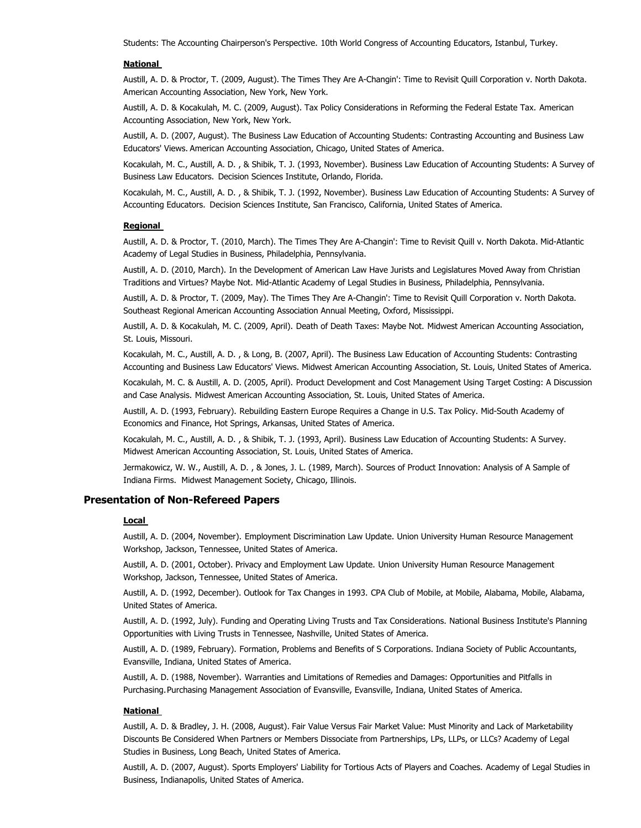Students: The Accounting Chairperson's Perspective. 10th World Congress of Accounting Educators, Istanbul, Turkey.

## **National**

Austill, A. D. & Proctor, T. (2009, August). The Times They Are A-Changin': Time to Revisit Quill Corporation v. North Dakota. American Accounting Association, New York, New York.

Austill, A. D. & Kocakulah, M. C. (2009, August). Tax Policy Considerations in Reforming the Federal Estate Tax. American Accounting Association, New York, New York.

Austill, A. D. (2007, August). The Business Law Education of Accounting Students: Contrasting Accounting and Business Law Educators' Views. American Accounting Association, Chicago, United States of America.

Kocakulah, M. C., Austill, A. D. , & Shibik, T. J. (1993, November). Business Law Education of Accounting Students: A Survey of Business Law Educators. Decision Sciences Institute, Orlando, Florida.

Kocakulah, M. C., Austill, A. D. , & Shibik, T. J. (1992, November). Business Law Education of Accounting Students: A Survey of Accounting Educators. Decision Sciences Institute, San Francisco, California, United States of America.

#### **Regional**

Austill, A. D. & Proctor, T. (2010, March). The Times They Are A-Changin': Time to Revisit Quill v. North Dakota. Mid-Atlantic Academy of Legal Studies in Business, Philadelphia, Pennsylvania.

Austill, A. D. (2010, March). In the Development of American Law Have Jurists and Legislatures Moved Away from Christian Traditions and Virtues? Maybe Not. Mid-Atlantic Academy of Legal Studies in Business, Philadelphia, Pennsylvania.

Austill, A. D. & Proctor, T. (2009, May). The Times They Are A-Changin': Time to Revisit Quill Corporation v. North Dakota. Southeast Regional American Accounting Association Annual Meeting, Oxford, Mississippi.

Austill, A. D. & Kocakulah, M. C. (2009, April). Death of Death Taxes: Maybe Not. Midwest American Accounting Association, St. Louis, Missouri.

Kocakulah, M. C., Austill, A. D. , & Long, B. (2007, April). The Business Law Education of Accounting Students: Contrasting Accounting and Business Law Educators' Views. Midwest American Accounting Association, St. Louis, United States of America.

Kocakulah, M. C. & Austill, A. D. (2005, April). Product Development and Cost Management Using Target Costing: A Discussion and Case Analysis. Midwest American Accounting Association, St. Louis, United States of America.

Austill, A. D. (1993, February). Rebuilding Eastern Europe Requires a Change in U.S. Tax Policy. Mid-South Academy of Economics and Finance, Hot Springs, Arkansas, United States of America.

Kocakulah, M. C., Austill, A. D. , & Shibik, T. J. (1993, April). Business Law Education of Accounting Students: A Survey. Midwest American Accounting Association, St. Louis, United States of America.

Jermakowicz, W. W., Austill, A. D. , & Jones, J. L. (1989, March). Sources of Product Innovation: Analysis of A Sample of Indiana Firms. Midwest Management Society, Chicago, Illinois.

## **Presentation of Non-Refereed Papers**

#### **Local**

Austill, A. D. (2004, November). Employment Discrimination Law Update. Union University Human Resource Management Workshop, Jackson, Tennessee, United States of America.

Austill, A. D. (2001, October). Privacy and Employment Law Update. Union University Human Resource Management Workshop, Jackson, Tennessee, United States of America.

Austill, A. D. (1992, December). Outlook for Tax Changes in 1993. CPA Club of Mobile, at Mobile, Alabama, Mobile, Alabama, United States of America.

Austill, A. D. (1992, July). Funding and Operating Living Trusts and Tax Considerations. National Business Institute's Planning Opportunities with Living Trusts in Tennessee, Nashville, United States of America.

Austill, A. D. (1989, February). Formation, Problems and Benefits of S Corporations. Indiana Society of Public Accountants, Evansville, Indiana, United States of America.

Austill, A. D. (1988, November). Warranties and Limitations of Remedies and Damages: Opportunities and Pitfalls in Purchasing. Purchasing Management Association of Evansville, Evansville, Indiana, United States of America.

## **National**

Austill, A. D. & Bradley, J. H. (2008, August). Fair Value Versus Fair Market Value: Must Minority and Lack of Marketability Discounts Be Considered When Partners or Members Dissociate from Partnerships, LPs, LLPs, or LLCs? Academy of Legal Studies in Business, Long Beach, United States of America.

Austill, A. D. (2007, August). Sports Employers' Liability for Tortious Acts of Players and Coaches. Academy of Legal Studies in Business, Indianapolis, United States of America.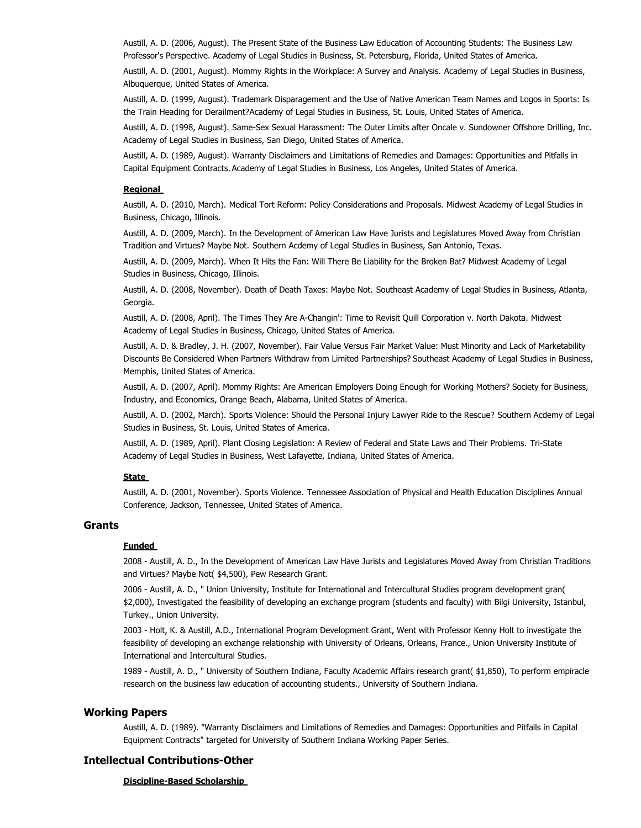Austill, A. D. (2006, August). The Present State of the Business Law Education of Accounting Students: The Business Law Professor's Perspective. Academy of Legal Studies in Business, St. Petersburg, Florida, United States of America.

Austill, A. D. (2001, August). Mommy Rights in the Workplace: A Survey and Analysis. Academy of Legal Studies in Business, Albuquerque, United States of America.

Austill, A. D. (1999, August). Trademark Disparagement and the Use of Native American Team Names and Logos in Sports: Is the Train Heading for Derailment? Academy of Legal Studies in Business, St. Louis, United States of America.

Austill, A. D. (1998, August). Same-Sex Sexual Harassment: The Outer Limits after Oncale v. Sundowner Offshore Drilling, Inc. Academy of Legal Studies in Business, San Diego, United States of America.

Austill, A. D. (1989, August). Warranty Disclaimers and Limitations of Remedies and Damages: Opportunities and Pitfalls in Capital Equipment Contracts. Academy of Legal Studies in Business, Los Angeles, United States of America.

## **Regional**

Austill, A. D. (2010, March). Medical Tort Reform: Policy Considerations and Proposals. Midwest Academy of Legal Studies in Business, Chicago, Illinois.

Austill, A. D. (2009, March). In the Development of American Law Have Jurists and Legislatures Moved Away from Christian Tradition and Virtues? Maybe Not. Southern Acdemy of Legal Studies in Business, San Antonio, Texas.

Austill, A. D. (2009, March). When It Hits the Fan: Will There Be Liability for the Broken Bat? Midwest Academy of Legal Studies in Business, Chicago, Illinois.

Austill, A. D. (2008, November). Death of Death Taxes: Maybe Not. Southeast Academy of Legal Studies in Business, Atlanta, Georgia.

Austill, A. D. (2008, April). The Times They Are A-Changin': Time to Revisit Quill Corporation v. North Dakota. Midwest Academy of Legal Studies in Business, Chicago, United States of America.

Austill, A. D. & Bradley, J. H. (2007, November). Fair Value Versus Fair Market Value: Must Minority and Lack of Marketability Discounts Be Considered When Partners Withdraw from Limited Partnerships? Southeast Academy of Legal Studies in Business, Memphis, United States of America.

Austill, A. D. (2007, April). Mommy Rights: Are American Employers Doing Enough for Working Mothers? Society for Business, Industry, and Economics, Orange Beach, Alabama, United States of America.

Austill, A. D. (2002, March). Sports Violence: Should the Personal Injury Lawyer Ride to the Rescue? Southern Acdemy of Legal Studies in Business, St. Louis, United States of America.

Austill, A. D. (1989, April). Plant Closing Legislation: A Review of Federal and State Laws and Their Problems. Tri-State Academy of Legal Studies in Business, West Lafayette, Indiana, United States of America.

## **State**

Austill, A. D. (2001, November). Sports Violence. Tennessee Association of Physical and Health Education Disciplines Annual Conference, Jackson, Tennessee, United States of America.

# **Grants**

## **Funded**

2008 - Austill, A. D., In the Development of American Law Have Jurists and Legislatures Moved Away from Christian Traditions and Virtues? Maybe Not( \$4,500), Pew Research Grant.

2006 - Austill, A. D., " Union University, Institute for International and Intercultural Studies program development gran( \$2,000), Investigated the feasibility of developing an exchange program (students and faculty) with Bilgi University, Istanbul, Turkey., Union University.

2003 - Holt, K. & Austill, A.D., International Program Development Grant, Went with Professor Kenny Holt to investigate the feasibility of developing an exchange relationship with University of Orleans, Orleans, France., Union University Institute of International and Intercultural Studies.

1989 - Austill, A. D., " University of Southern Indiana, Faculty Academic Affairs research grant( \$1,850), To perform empiracle research on the business law education of accounting students., University of Southern Indiana.

## **Working Papers**

Austill, A. D. (1989). "Warranty Disclaimers and Limitations of Remedies and Damages: Opportunities and Pitfalls in Capital Equipment Contracts" targeted for University of Southern Indiana Working Paper Series.

#### **Intellectual Contributions-Other**

#### **Discipline-Based Scholarship**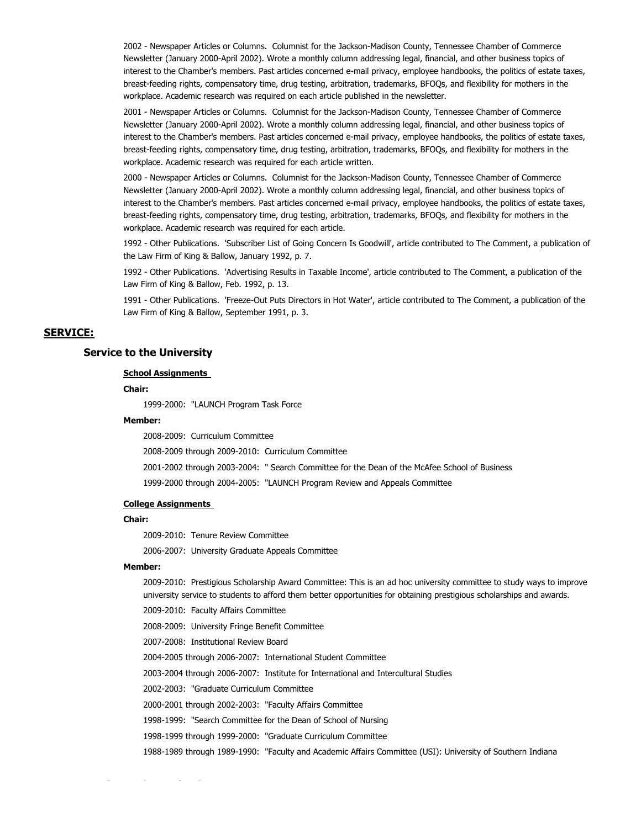2002 - Newspaper Articles or Columns. Columnist for the Jackson-Madison County, Tennessee Chamber of Commerce Newsletter (January 2000-April 2002). Wrote a monthly column addressing legal, financial, and other business topics of interest to the Chamber's members. Past articles concerned e-mail privacy, employee handbooks, the politics of estate taxes, breast-feeding rights, compensatory time, drug testing, arbitration, trademarks, BFOQs, and flexibility for mothers in the workplace. Academic research was required on each article published in the newsletter.

2001 - Newspaper Articles or Columns. Columnist for the Jackson-Madison County, Tennessee Chamber of Commerce Newsletter (January 2000-April 2002). Wrote a monthly column addressing legal, financial, and other business topics of interest to the Chamber's members. Past articles concerned e-mail privacy, employee handbooks, the politics of estate taxes, breast-feeding rights, compensatory time, drug testing, arbitration, trademarks, BFOQs, and flexibility for mothers in the workplace. Academic research was required for each article written.

2000 - Newspaper Articles or Columns. Columnist for the Jackson-Madison County, Tennessee Chamber of Commerce Newsletter (January 2000-April 2002). Wrote a monthly column addressing legal, financial, and other business topics of interest to the Chamber's members. Past articles concerned e-mail privacy, employee handbooks, the politics of estate taxes, breast-feeding rights, compensatory time, drug testing, arbitration, trademarks, BFOQs, and flexibility for mothers in the workplace. Academic research was required for each article.

1992 - Other Publications. 'Subscriber List of Going Concern Is Goodwill', article contributed to The Comment, a publication of the Law Firm of King & Ballow, January 1992, p. 7.

1992 - Other Publications. 'Advertising Results in Taxable Income', article contributed to The Comment, a publication of the Law Firm of King & Ballow, Feb. 1992, p. 13.

1991 - Other Publications. 'Freeze-Out Puts Directors in Hot Water', article contributed to The Comment, a publication of the Law Firm of King & Ballow, September 1991, p. 3.

# **SERVICE:**

## **Service to the University**

## **School Assignments**

## **Chair:**

1999-2000: "LAUNCH Program Task Force

# **Member:**

2008-2009: Curriculum Committee

2008-2009 through 2009-2010: Curriculum Committee

- 2001-2002 through 2003-2004: " Search Committee for the Dean of the McAfee School of Business
- 1999-2000 through 2004-2005: "LAUNCH Program Review and Appeals Committee

#### **College Assignments**

#### **Chair:**

2009-2010: Tenure Review Committee

2006-2007: University Graduate Appeals Committee

### **Member:**

2009-2010: Prestigious Scholarship Award Committee: This is an ad hoc university committee to study ways to improve university service to students to afford them better opportunities for obtaining prestigious scholarships and awards.

2009-2010: Faculty Affairs Committee

2008-2009: University Fringe Benefit Committee

2007-2008: Institutional Review Board

2004-2005 through 2006-2007: International Student Committee

2003-2004 through 2006-2007: Institute for International and Intercultural Studies

2002-2003: "Graduate Curriculum Committee

2000-2001 through 2002-2003: "Faculty Affairs Committee

1998-1999: "Search Committee for the Dean of School of Nursing

1998-1999 through 1999-2000: "Graduate Curriculum Committee

1988-1989 through 1989-1990: "Faculty and Academic Affairs Committee (USI): University of Southern Indiana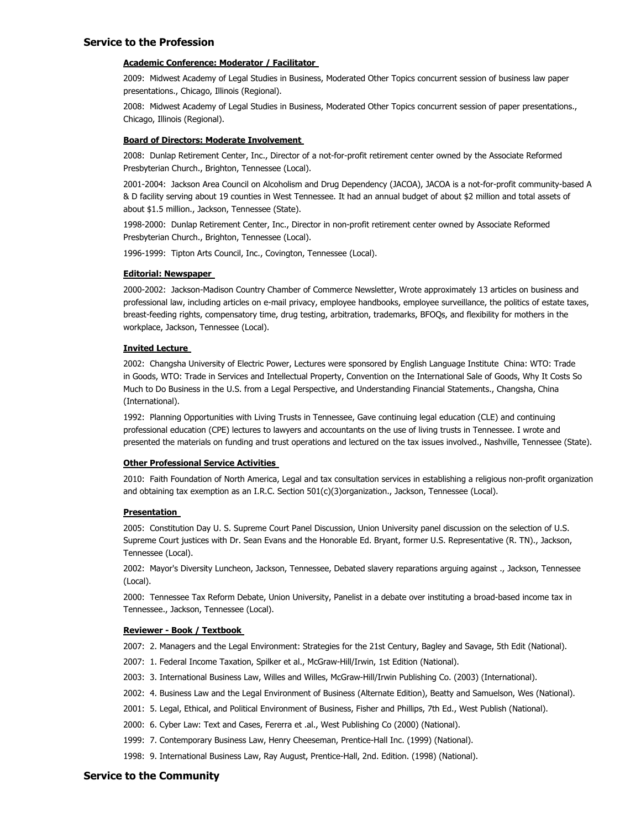## **Service to the Profession**

## **Academic Conference: Moderator / Facilitator**

2009: Midwest Academy of Legal Studies in Business, Moderated Other Topics concurrent session of business law paper presentations., Chicago, Illinois (Regional).

2008: Midwest Academy of Legal Studies in Business, Moderated Other Topics concurrent session of paper presentations., Chicago, Illinois (Regional).

## **Board of Directors: Moderate Involvement**

2008: Dunlap Retirement Center, Inc., Director of a not-for-profit retirement center owned by the Associate Reformed Presbyterian Church., Brighton, Tennessee (Local).

2001-2004: Jackson Area Council on Alcoholism and Drug Dependency (JACOA), JACOA is a not-for-profit community-based A & D facility serving about 19 counties in West Tennessee. It had an annual budget of about \$2 million and total assets of about \$1.5 million., Jackson, Tennessee (State).

1998-2000: Dunlap Retirement Center, Inc., Director in non-profit retirement center owned by Associate Reformed Presbyterian Church., Brighton, Tennessee (Local).

1996-1999: Tipton Arts Council, Inc., Covington, Tennessee (Local).

## **Editorial: Newspaper**

2000-2002: Jackson-Madison Country Chamber of Commerce Newsletter, Wrote approximately 13 articles on business and professional law, including articles on e-mail privacy, employee handbooks, employee surveillance, the politics of estate taxes, breast-feeding rights, compensatory time, drug testing, arbitration, trademarks, BFOQs, and flexibility for mothers in the workplace, Jackson, Tennessee (Local).

## **Invited Lecture**

2002: Changsha University of Electric Power, Lectures were sponsored by English Language Institute China: WTO: Trade in Goods, WTO: Trade in Services and Intellectual Property, Convention on the International Sale of Goods, Why It Costs So Much to Do Business in the U.S. from a Legal Perspective, and Understanding Financial Statements., Changsha, China (International).

1992: Planning Opportunities with Living Trusts in Tennessee, Gave continuing legal education (CLE) and continuing professional education (CPE) lectures to lawyers and accountants on the use of living trusts in Tennessee. I wrote and presented the materials on funding and trust operations and lectured on the tax issues involved., Nashville, Tennessee (State).

### **Other Professional Service Activities**

2010: Faith Foundation of North America, Legal and tax consultation services in establishing a religious non-profit organization and obtaining tax exemption as an I.R.C. Section 501(c)(3)organization., Jackson, Tennessee (Local).

#### **Presentation**

2005: Constitution Day U. S. Supreme Court Panel Discussion, Union University panel discussion on the selection of U.S. Supreme Court justices with Dr. Sean Evans and the Honorable Ed. Bryant, former U.S. Representative (R. TN)., Jackson, Tennessee (Local).

2002: Mayor's Diversity Luncheon, Jackson, Tennessee, Debated slavery reparations arguing against ., Jackson, Tennessee (Local).

2000: Tennessee Tax Reform Debate, Union University, Panelist in a debate over instituting a broad-based income tax in Tennessee., Jackson, Tennessee (Local).

#### **Reviewer - Book / Textbook**

2007: 2. Managers and the Legal Environment: Strategies for the 21st Century, Bagley and Savage, 5th Edit (National).

- 2007: 1. Federal Income Taxation, Spilker et al., McGraw-Hill/Irwin, 1st Edition (National).
- 2003: 3. International Business Law, Willes and Willes, McGraw-Hill/Irwin Publishing Co. (2003) (International).
- 2002: 4. Business Law and the Legal Environment of Business (Alternate Edition), Beatty and Samuelson, Wes (National).
- 2001: 5. Legal, Ethical, and Political Environment of Business, Fisher and Phillips, 7th Ed., West Publish (National).
- 2000: 6. Cyber Law: Text and Cases, Fererra et .al., West Publishing Co (2000) (National).
- 1999: 7. Contemporary Business Law, Henry Cheeseman, Prentice-Hall Inc. (1999) (National).
- 1998: 9. International Business Law, Ray August, Prentice-Hall, 2nd. Edition. (1998) (National).

# **Service to the Community**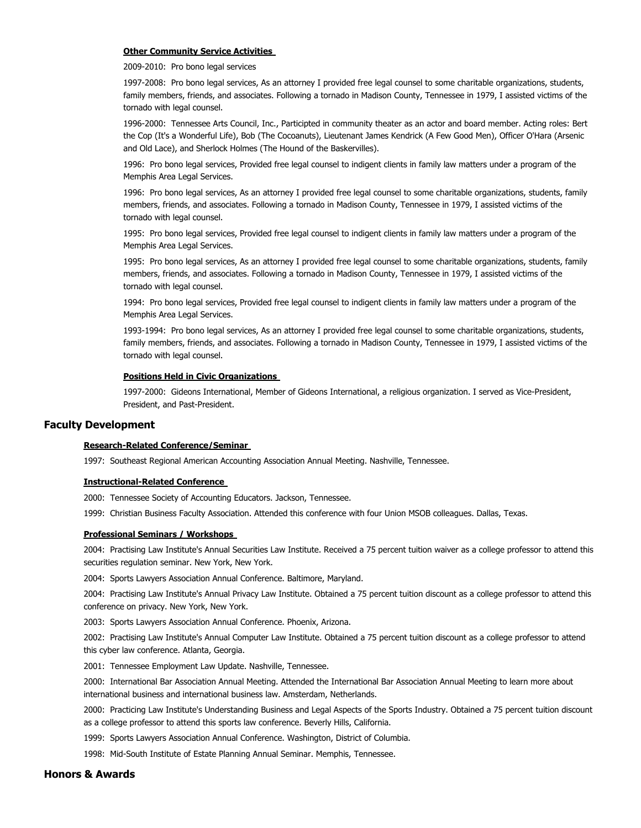#### **Other Community Service Activities**

2009-2010: Pro bono legal services

1997-2008: Pro bono legal services, As an attorney I provided free legal counsel to some charitable organizations, students, family members, friends, and associates. Following a tornado in Madison County, Tennessee in 1979, I assisted victims of the tornado with legal counsel.

1996-2000: Tennessee Arts Council, Inc., Participted in community theater as an actor and board member. Acting roles: Bert the Cop (It's a Wonderful Life), Bob (The Cocoanuts), Lieutenant James Kendrick (A Few Good Men), Officer O'Hara (Arsenic and Old Lace), and Sherlock Holmes (The Hound of the Baskervilles).

1996: Pro bono legal services, Provided free legal counsel to indigent clients in family law matters under a program of the Memphis Area Legal Services.

1996: Pro bono legal services, As an attorney I provided free legal counsel to some charitable organizations, students, family members, friends, and associates. Following a tornado in Madison County, Tennessee in 1979, I assisted victims of the tornado with legal counsel.

1995: Pro bono legal services, Provided free legal counsel to indigent clients in family law matters under a program of the Memphis Area Legal Services.

1995: Pro bono legal services, As an attorney I provided free legal counsel to some charitable organizations, students, family members, friends, and associates. Following a tornado in Madison County, Tennessee in 1979, I assisted victims of the tornado with legal counsel.

1994: Pro bono legal services, Provided free legal counsel to indigent clients in family law matters under a program of the Memphis Area Legal Services.

1993-1994: Pro bono legal services, As an attorney I provided free legal counsel to some charitable organizations, students, family members, friends, and associates. Following a tornado in Madison County, Tennessee in 1979, I assisted victims of the tornado with legal counsel.

## **Positions Held in Civic Organizations**

1997-2000: Gideons International, Member of Gideons International, a religious organization. I served as Vice-President, President, and Past-President.

## **Faculty Development**

## **Research-Related Conference/Seminar**

1997: Southeast Regional American Accounting Association Annual Meeting. Nashville, Tennessee.

#### **Instructional-Related Conference**

2000: Tennessee Society of Accounting Educators. Jackson, Tennessee.

1999: Christian Business Faculty Association. Attended this conference with four Union MSOB colleagues. Dallas, Texas.

## **Professional Seminars / Workshops**

2004: Practising Law Institute's Annual Securities Law Institute. Received a 75 percent tuition waiver as a college professor to attend this securities regulation seminar. New York, New York.

2004: Sports Lawyers Association Annual Conference. Baltimore, Maryland.

2004: Practising Law Institute's Annual Privacy Law Institute. Obtained a 75 percent tuition discount as a college professor to attend this conference on privacy. New York, New York.

2003: Sports Lawyers Association Annual Conference. Phoenix, Arizona.

2002: Practising Law Institute's Annual Computer Law Institute. Obtained a 75 percent tuition discount as a college professor to attend this cyber law conference. Atlanta, Georgia.

2001: Tennessee Employment Law Update. Nashville, Tennessee.

2000: International Bar Association Annual Meeting. Attended the International Bar Association Annual Meeting to learn more about international business and international business law. Amsterdam, Netherlands.

2000: Practicing Law Institute's Understanding Business and Legal Aspects of the Sports Industry. Obtained a 75 percent tuition discount as a college professor to attend this sports law conference. Beverly Hills, California.

1999: Sports Lawyers Association Annual Conference. Washington, District of Columbia.

1998: Mid-South Institute of Estate Planning Annual Seminar. Memphis, Tennessee.

# **Honors & Awards**